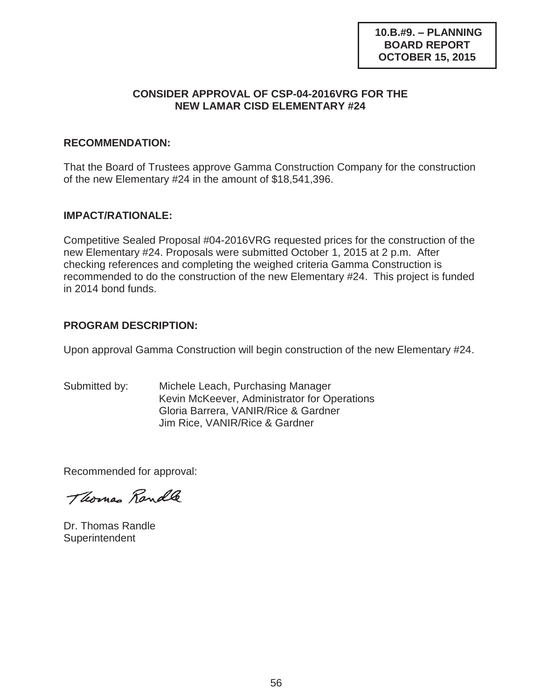#### **CONSIDER APPROVAL OF CSP-04-2016VRG FOR THE NEW LAMAR CISD ELEMENTARY #24**

### **RECOMMENDATION:**

That the Board of Trustees approve Gamma Construction Company for the construction of the new Elementary #24 in the amount of \$18,541,396.

## **IMPACT/RATIONALE:**

Competitive Sealed Proposal #04-2016VRG requested prices for the construction of the new Elementary #24. Proposals were submitted October 1, 2015 at 2 p.m. After checking references and completing the weighed criteria Gamma Construction is recommended to do the construction of the new Elementary #24. This project is funded in 2014 bond funds.

## **PROGRAM DESCRIPTION:**

Upon approval Gamma Construction will begin construction of the new Elementary #24.

Submitted by: Michele Leach, Purchasing Manager Kevin McKeever, Administrator for Operations Gloria Barrera, VANIR/Rice & Gardner Jim Rice, VANIR/Rice & Gardner

Recommended for approval:

Thomas Randle

Dr. Thomas Randle **Superintendent**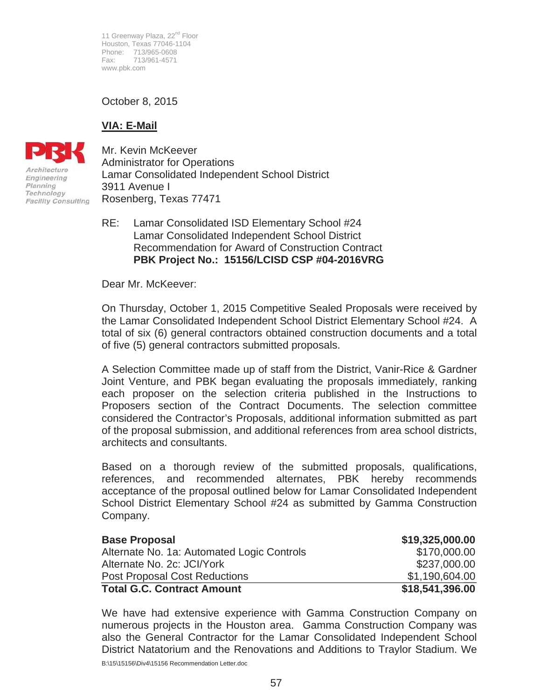11 Greenway Plaza, 22<sup>nd</sup> Floor Houston, Texas 77046-1104 Phone: 713/965-0608 Fax: 713/961-4571 www.pbk.com

October 8, 2015

# **VIA: E-Mail**



Mr. Kevin McKeever Administrator for Operations Lamar Consolidated Independent School District 3911 Avenue I Rosenberg, Texas 77471

RE: Lamar Consolidated ISD Elementary School #24 Lamar Consolidated Independent School District Recommendation for Award of Construction Contract **PBK Project No.: 15156/LCISD CSP #04-2016VRG** 

Dear Mr. McKeever:

On Thursday, October 1, 2015 Competitive Sealed Proposals were received by the Lamar Consolidated Independent School District Elementary School #24. A total of six (6) general contractors obtained construction documents and a total of five (5) general contractors submitted proposals.

A Selection Committee made up of staff from the District, Vanir-Rice & Gardner Joint Venture, and PBK began evaluating the proposals immediately, ranking each proposer on the selection criteria published in the Instructions to Proposers section of the Contract Documents. The selection committee considered the Contractor's Proposals, additional information submitted as part of the proposal submission, and additional references from area school districts, architects and consultants.

Based on a thorough review of the submitted proposals, qualifications, references, and recommended alternates, PBK hereby recommends acceptance of the proposal outlined below for Lamar Consolidated Independent School District Elementary School #24 as submitted by Gamma Construction Company.

| <b>Base Proposal</b>                       | \$19,325,000.00 |
|--------------------------------------------|-----------------|
| Alternate No. 1a: Automated Logic Controls | \$170,000.00    |
| Alternate No. 2c: JCI/York                 | \$237,000.00    |
| <b>Post Proposal Cost Reductions</b>       | \$1,190,604.00  |
| <b>Total G.C. Contract Amount</b>          | \$18,541,396.00 |

We have had extensive experience with Gamma Construction Company on numerous projects in the Houston area. Gamma Construction Company was also the General Contractor for the Lamar Consolidated Independent School District Natatorium and the Renovations and Additions to Traylor Stadium. We

B:\15\15156\Div4\15156 Recommendation Letter.doc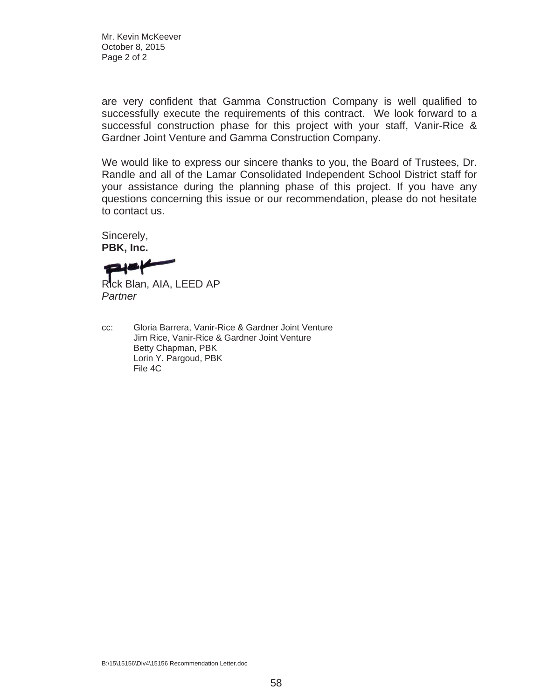Mr. Kevin McKeever October 8, 2015 Page 2 of 2

are very confident that Gamma Construction Company is well qualified to successfully execute the requirements of this contract. We look forward to a successful construction phase for this project with your staff, Vanir-Rice & Gardner Joint Venture and Gamma Construction Company.

We would like to express our sincere thanks to you, the Board of Trustees, Dr. Randle and all of the Lamar Consolidated Independent School District staff for your assistance during the planning phase of this project. If you have any questions concerning this issue or our recommendation, please do not hesitate to contact us.

Sincerely, **PBK, Inc.** 

Rick Blan, AIA, LEED AP *Partner*

cc: Gloria Barrera, Vanir-Rice & Gardner Joint Venture Jim Rice, Vanir-Rice & Gardner Joint Venture Betty Chapman, PBK Lorin Y. Pargoud, PBK File 4C

B:\15\15156\Div4\15156 Recommendation Letter.doc